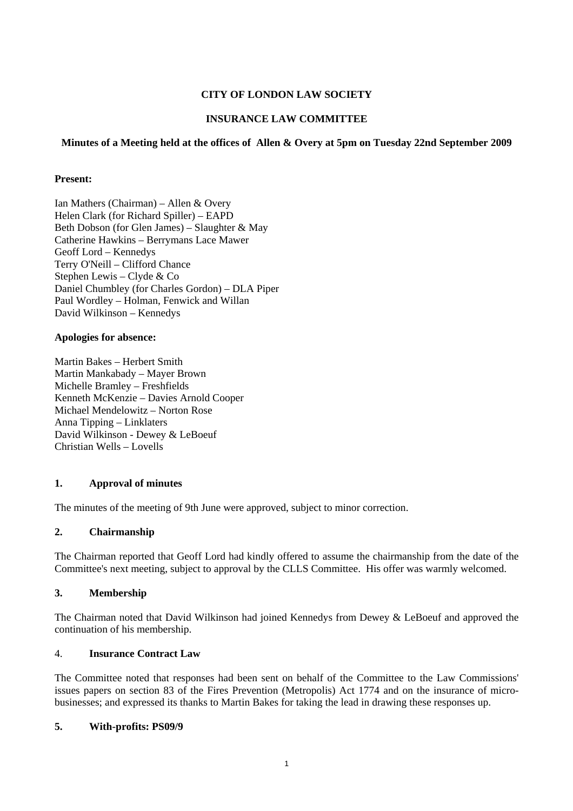## **CITY OF LONDON LAW SOCIETY**

## **INSURANCE LAW COMMITTEE**

#### **Minutes of a Meeting held at the offices of Allen & Overy at 5pm on Tuesday 22nd September 2009**

#### **Present:**

Ian Mathers (Chairman) – Allen & Overy Helen Clark (for Richard Spiller) – EAPD Beth Dobson (for Glen James) – Slaughter & May Catherine Hawkins – Berrymans Lace Mawer Geoff Lord – Kennedys Terry O'Neill – Clifford Chance Stephen Lewis – Clyde & Co Daniel Chumbley (for Charles Gordon) – DLA Piper Paul Wordley – Holman, Fenwick and Willan David Wilkinson – Kennedys

#### **Apologies for absence:**

Martin Bakes – Herbert Smith Martin Mankabady – Mayer Brown Michelle Bramley – Freshfields Kenneth McKenzie – Davies Arnold Cooper Michael Mendelowitz – Norton Rose Anna Tipping – Linklaters David Wilkinson - Dewey & LeBoeuf Christian Wells – Lovells

#### **1. Approval of minutes**

The minutes of the meeting of 9th June were approved, subject to minor correction.

#### **2. Chairmanship**

The Chairman reported that Geoff Lord had kindly offered to assume the chairmanship from the date of the Committee's next meeting, subject to approval by the CLLS Committee. His offer was warmly welcomed.

#### **3. Membership**

The Chairman noted that David Wilkinson had joined Kennedys from Dewey & LeBoeuf and approved the continuation of his membership.

#### 4. **Insurance Contract Law**

The Committee noted that responses had been sent on behalf of the Committee to the Law Commissions' issues papers on section 83 of the Fires Prevention (Metropolis) Act 1774 and on the insurance of microbusinesses; and expressed its thanks to Martin Bakes for taking the lead in drawing these responses up.

#### **5. With-profits: PS09/9**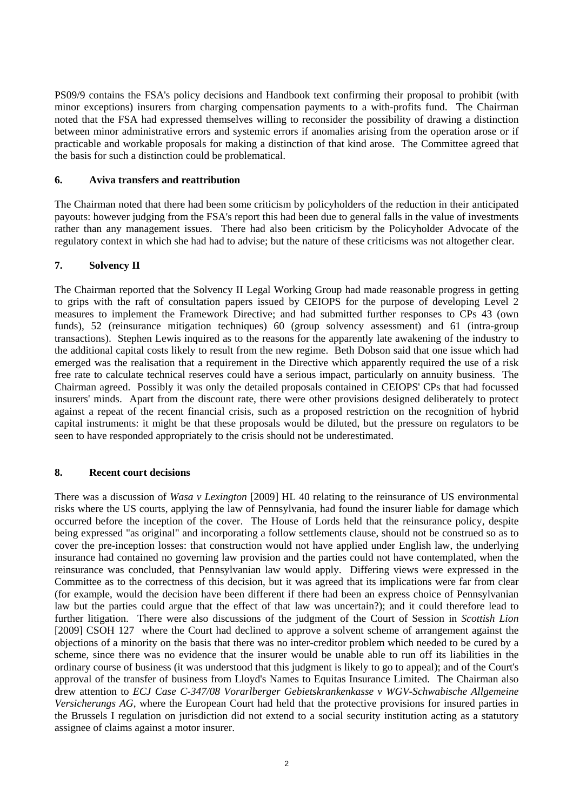PS09/9 contains the FSA's policy decisions and Handbook text confirming their proposal to prohibit (with minor exceptions) insurers from charging compensation payments to a with-profits fund. The Chairman noted that the FSA had expressed themselves willing to reconsider the possibility of drawing a distinction between minor administrative errors and systemic errors if anomalies arising from the operation arose or if practicable and workable proposals for making a distinction of that kind arose. The Committee agreed that the basis for such a distinction could be problematical.

## **6. Aviva transfers and reattribution**

The Chairman noted that there had been some criticism by policyholders of the reduction in their anticipated payouts: however judging from the FSA's report this had been due to general falls in the value of investments rather than any management issues. There had also been criticism by the Policyholder Advocate of the regulatory context in which she had had to advise; but the nature of these criticisms was not altogether clear.

## **7. Solvency II**

The Chairman reported that the Solvency II Legal Working Group had made reasonable progress in getting to grips with the raft of consultation papers issued by CEIOPS for the purpose of developing Level 2 measures to implement the Framework Directive; and had submitted further responses to CPs 43 (own funds), 52 (reinsurance mitigation techniques) 60 (group solvency assessment) and 61 (intra-group transactions). Stephen Lewis inquired as to the reasons for the apparently late awakening of the industry to the additional capital costs likely to result from the new regime. Beth Dobson said that one issue which had emerged was the realisation that a requirement in the Directive which apparently required the use of a risk free rate to calculate technical reserves could have a serious impact, particularly on annuity business. The Chairman agreed. Possibly it was only the detailed proposals contained in CEIOPS' CPs that had focussed insurers' minds. Apart from the discount rate, there were other provisions designed deliberately to protect against a repeat of the recent financial crisis, such as a proposed restriction on the recognition of hybrid capital instruments: it might be that these proposals would be diluted, but the pressure on regulators to be seen to have responded appropriately to the crisis should not be underestimated.

#### **8. Recent court decisions**

There was a discussion of *Wasa v Lexington* [2009] HL 40 relating to the reinsurance of US environmental risks where the US courts, applying the law of Pennsylvania, had found the insurer liable for damage which occurred before the inception of the cover. The House of Lords held that the reinsurance policy, despite being expressed "as original" and incorporating a follow settlements clause, should not be construed so as to cover the pre-inception losses: that construction would not have applied under English law, the underlying insurance had contained no governing law provision and the parties could not have contemplated, when the reinsurance was concluded, that Pennsylvanian law would apply. Differing views were expressed in the Committee as to the correctness of this decision, but it was agreed that its implications were far from clear (for example, would the decision have been different if there had been an express choice of Pennsylvanian law but the parties could argue that the effect of that law was uncertain?); and it could therefore lead to further litigation. There were also discussions of the judgment of the Court of Session in *Scottish Lion* [2009] CSOH 127 where the Court had declined to approve a solvent scheme of arrangement against the objections of a minority on the basis that there was no inter-creditor problem which needed to be cured by a scheme, since there was no evidence that the insurer would be unable able to run off its liabilities in the ordinary course of business (it was understood that this judgment is likely to go to appeal); and of the Court's approval of the transfer of business from Lloyd's Names to Equitas Insurance Limited. The Chairman also drew attention to *ECJ Case C-347/08 Vorarlberger Gebietskrankenkasse v WGV-Schwabische Allgemeine Versicherungs AG*, where the European Court had held that the protective provisions for insured parties in the Brussels I regulation on jurisdiction did not extend to a social security institution acting as a statutory assignee of claims against a motor insurer.